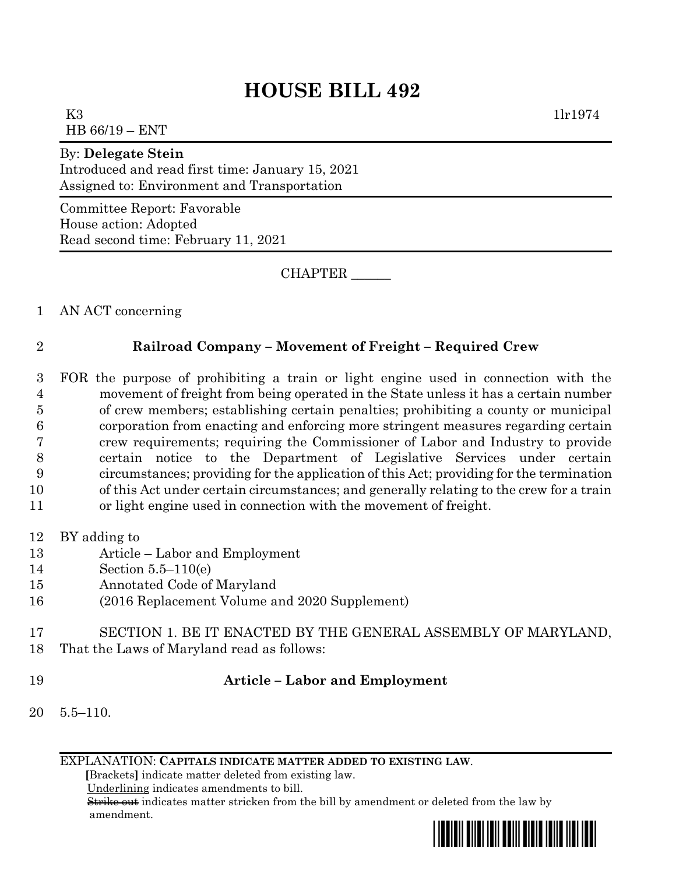## **HOUSE BILL 492**

K3  $1\text{lr}1974$ HB 66/19 – ENT

## By: **Delegate Stein**

Introduced and read first time: January 15, 2021 Assigned to: Environment and Transportation

Committee Report: Favorable House action: Adopted Read second time: February 11, 2021

CHAPTER \_\_\_\_\_\_

1 AN ACT concerning

## 2 **Railroad Company – Movement of Freight – Required Crew**

- 3 FOR the purpose of prohibiting a train or light engine used in connection with the 4 movement of freight from being operated in the State unless it has a certain number 5 of crew members; establishing certain penalties; prohibiting a county or municipal 6 corporation from enacting and enforcing more stringent measures regarding certain 7 crew requirements; requiring the Commissioner of Labor and Industry to provide 8 certain notice to the Department of Legislative Services under certain 9 circumstances; providing for the application of this Act; providing for the termination 10 of this Act under certain circumstances; and generally relating to the crew for a train
- 11 or light engine used in connection with the movement of freight.
- 12 BY adding to
- 13 Article Labor and Employment
- 14 Section 5.5–110(e)
- 15 Annotated Code of Maryland
- 16 (2016 Replacement Volume and 2020 Supplement)
- 17 SECTION 1. BE IT ENACTED BY THE GENERAL ASSEMBLY OF MARYLAND, 18 That the Laws of Maryland read as follows:
- 

## 19 **Article – Labor and Employment**

20 5.5–110.

EXPLANATION: **CAPITALS INDICATE MATTER ADDED TO EXISTING LAW**.

 **[**Brackets**]** indicate matter deleted from existing law.

Underlining indicates amendments to bill.

 Strike out indicates matter stricken from the bill by amendment or deleted from the law by amendment.